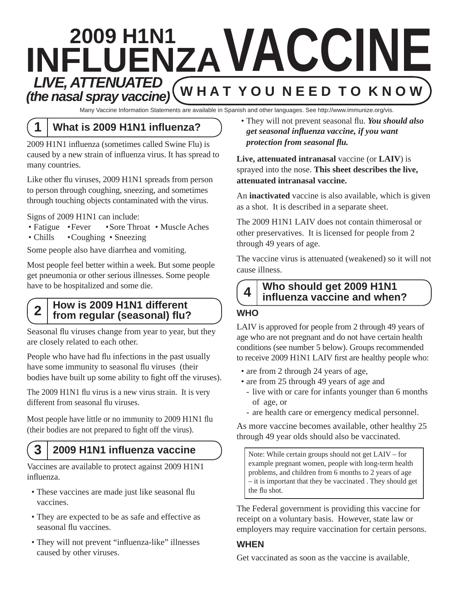# **2009 H1N1 INFLUENZA V ACCINE**  $LIVE$ , ATTENUATED **Y O U N E E D T O K N O W** *(the nasal spray vaccine)*

Many Vaccine Information Statements are available in Spanish and other languages. See http://www.immunize.org/vis.

# **1 What is 2009 H1N1 influenza?**

2009 H1N1 influenza (sometimes called Swine Flu) is caused by a new strain of influenza virus. It has spread to many countries.

Like other flu viruses, 2009 H1N1 spreads from person to person through coughing, sneezing, and sometimes through touching objects contaminated with the virus.

Signs of 2009 H1N1 can include:

- Fatigue Fever Sore Throat Muscle Aches
- Chills Coughing Sneezing

Some people also have diarrhea and vomiting.

Most people feel better within a week. But some people get pneumonia or other serious illnesses. Some people have to be hospitalized and some die.

#### **2 How is 2009 H1N1 different from regular (seasonal) flu?**

Seasonal flu viruses change from year to year, but they are closely related to each other.

People who have had flu infections in the past usually have some immunity to seasonal flu viruses (their bodies have built up some ability to fight off the viruses).

The 2009 H1N1 flu virus is a new virus strain. It is very different from seasonal flu viruses.

Most people have little or no immunity to 2009 H1N1 flu (their bodies are not prepared to fight off the virus).

## **3 2009 H1N1 influenza vaccine**

Vaccines are available to protect against 2009 H1N1 influenza.

- These vaccines are made just like seasonal flu vaccines.
- They are expected to be as safe and effective as seasonal flu vaccines.
- They will not prevent "influenza-like" illnesses caused by other viruses.

• They will not prevent seasonal flu. *You should also get seasonal influenza vaccine, if you want protection from seasonal flu.* 

**Live, attenuated intranasal** vaccine (or **LAIV**) is sprayed into the nose. **This sheet describes the live, attenuated intranasal vaccine.** 

An **inactivated** vaccine is also available, which is given as a shot. It is described in a separate sheet.

The 2009 H1N1 LAIV does not contain thimerosal or other preservatives. It is licensed for people from 2 through 49 years of age.

The vaccine virus is attenuated (weakened) so it will not cause illness.

## **4 Who should get 2009 H1N1 influenza vaccine and when?**

#### **WHO**

LAIV is approved for people from 2 through 49 years of age who are not pregnant and do not have certain health conditions (see number 5 below). Groups recommended to receive 2009 H1N1 LAIV first are healthy people who:

- are from 2 through 24 years of age,
- are from 25 through 49 years of age and
	- live with or care for infants younger than 6 months of age, or
	- are health care or emergency medical personnel.

As more vaccine becomes available, other healthy 25 through 49 year olds should also be vaccinated.

Note: While certain groups should not get LAIV – for example pregnant women, people with long-term health problems, and children from 6 months to 2 years of age – it is important that they be vaccinated . They should get the flu shot.

The Federal government is providing this vaccine for receipt on a voluntary basis. However, state law or employers may require vaccination for certain persons.

#### **WHEN**

Get vaccinated as soon as the vaccine is available.